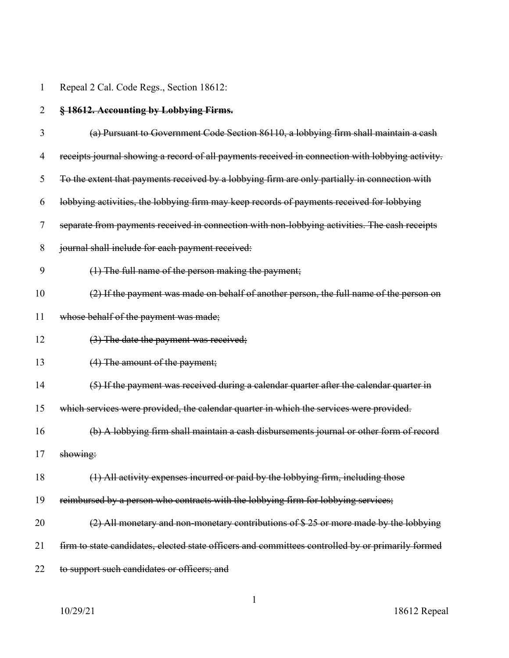Repeal 2 Cal. Code Regs., Section 18612:

| $\overline{2}$ | § 18612. Accounting by Lobbying Firms.                                                            |
|----------------|---------------------------------------------------------------------------------------------------|
| 3              | (a) Pursuant to Government Code Section 86110, a lobbying firm shall maintain a cash              |
| 4              | receipts journal showing a record of all payments received in connection with lobbying activity.  |
| 5              | To the extent that payments received by a lobbying firm are only partially in connection with     |
| 6              | lobbying activities, the lobbying firm may keep records of payments received for lobbying         |
| 7              | separate from payments received in connection with non-lobbying activities. The cash receipts     |
| 8              | journal shall include for each payment received:                                                  |
| 9              | (1) The full name of the person making the payment;                                               |
| 10             | (2) If the payment was made on behalf of another person, the full name of the person on           |
| 11             | whose behalf of the payment was made;                                                             |
| 12             | (3) The date the payment was received;                                                            |
| 13             | (4) The amount of the payment;                                                                    |
| 14             | (5) If the payment was received during a calendar quarter after the calendar quarter in           |
| 15             | which services were provided, the calendar quarter in which the services were provided.           |
| 16             | (b) A lobbying firm shall maintain a cash disbursements journal or other form of record           |
| 17             | showing:                                                                                          |
| 18             | (1) All activity expenses incurred or paid by the lobbying firm, including those                  |
| 19             | reimbursed by a person who contracts with the lobbying firm for lobbying services;                |
| 20             | $(2)$ All monetary and non-monetary contributions of \$ 25 or more made by the lobbying           |
| 21             | firm to state candidates, elected state officers and committees controlled by or primarily formed |
| 22             | to support such candidates or officers; and                                                       |

10/29/21 18612 Repeal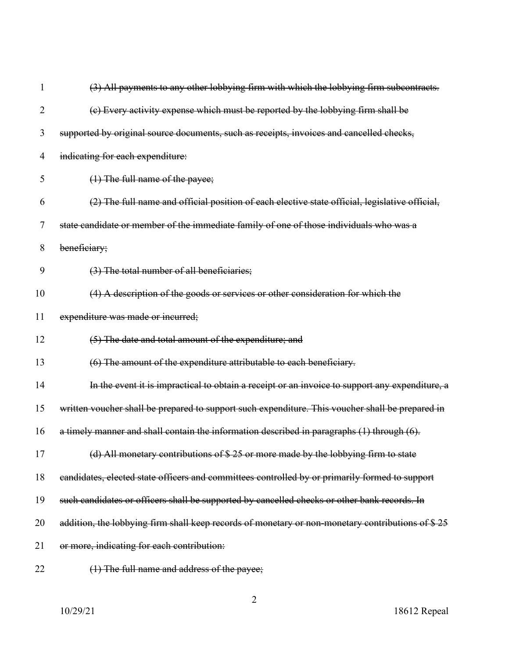| 1     | (3) All payments to any other lobbying firm with which the lobbying firm subcontracts.           |
|-------|--------------------------------------------------------------------------------------------------|
| 2     | (c) Every activity expense which must be reported by the lobbying firm shall be                  |
| 3     | supported by original source documents, such as receipts, invoices and cancelled checks,         |
| 4     | indicating for each expenditure:                                                                 |
| 5     | (1) The full name of the payee;                                                                  |
| 6     | (2) The full name and official position of each elective state official, legislative official,   |
| 7     | state candidate or member of the immediate family of one of those individuals who was a          |
| $8\,$ | beneficiary;                                                                                     |
| 9     | (3) The total number of all beneficiaries;                                                       |
| 10    | (4) A description of the goods or services or other consideration for which the                  |
| 11    | expenditure was made or incurred;                                                                |
| 12    | (5) The date and total amount of the expenditure; and                                            |
| 13    | (6) The amount of the expenditure attributable to each beneficiary.                              |
| 14    | In the event it is impractical to obtain a receipt or an invoice to support any expenditure, a   |
| 15    | written voucher shall be prepared to support such expenditure. This voucher shall be prepared in |
| 16    | a timely manner and shall contain the information described in paragraphs (1) through (6).       |
| 17    | $(d)$ All monetary contributions of $$25$ or more made by the lobbying firm to state             |
| 18    | eandidates, elected state officers and committees controlled by or primarily formed to support   |
| 19    | such candidates or officers shall be supported by cancelled checks or other bank records. In     |
| 20    | addition, the lobbying firm shall keep records of monetary or non-monetary contributions of \$25 |
| 21    | or more, indicating for each contribution:                                                       |
| 22    | (1) The full name and address of the payee;                                                      |